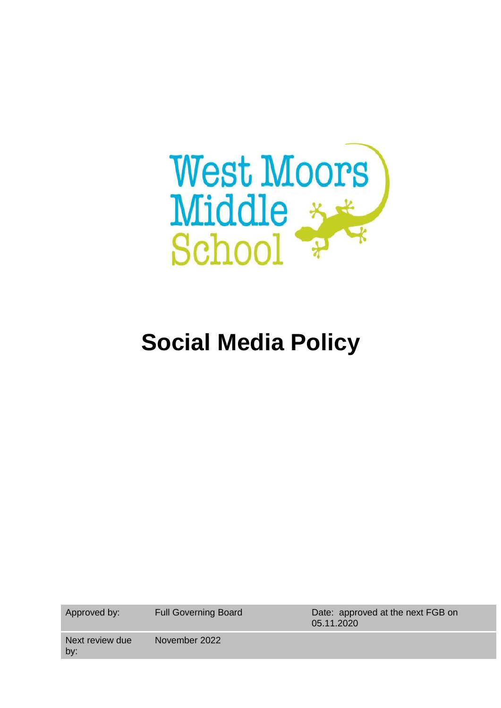

# **Social Media Policy**

Approved by: Full Governing Board Date: approved at the next FGB on 05.11.2020

Next review due by: November 2022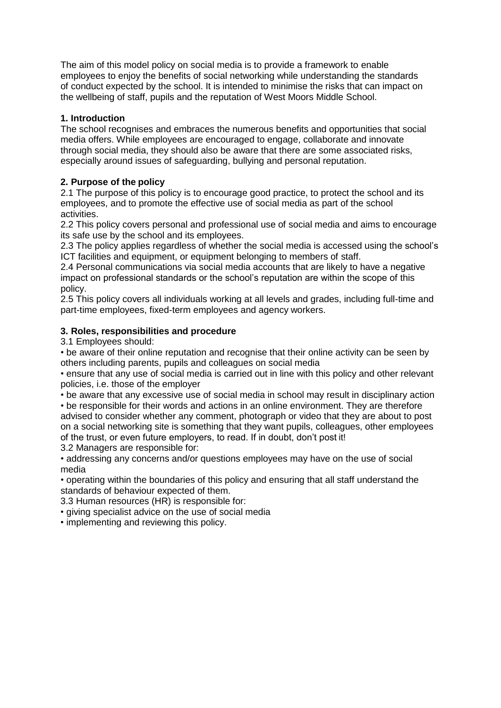The aim of this model policy on social media is to provide a framework to enable employees to enjoy the benefits of social networking while understanding the standards of conduct expected by the school. It is intended to minimise the risks that can impact on the wellbeing of staff, pupils and the reputation of West Moors Middle School.

# **1. Introduction**

The school recognises and embraces the numerous benefits and opportunities that social media offers. While employees are encouraged to engage, collaborate and innovate through social media, they should also be aware that there are some associated risks, especially around issues of safeguarding, bullying and personal reputation.

# **2. Purpose of the policy**

2.1 The purpose of this policy is to encourage good practice, to protect the school and its employees, and to promote the effective use of social media as part of the school activities.

2.2 This policy covers personal and professional use of social media and aims to encourage its safe use by the school and its employees.

2.3 The policy applies regardless of whether the social media is accessed using the school's ICT facilities and equipment, or equipment belonging to members of staff.

2.4 Personal communications via social media accounts that are likely to have a negative impact on professional standards or the school's reputation are within the scope of this policy.

2.5 This policy covers all individuals working at all levels and grades, including full-time and part-time employees, fixed-term employees and agency workers.

# **3. Roles, responsibilities and procedure**

3.1 Employees should:

• be aware of their online reputation and recognise that their online activity can be seen by others including parents, pupils and colleagues on social media

• ensure that any use of social media is carried out in line with this policy and other relevant policies, i.e. those of the employer

• be aware that any excessive use of social media in school may result in disciplinary action • be responsible for their words and actions in an online environment. They are therefore

advised to consider whether any comment, photograph or video that they are about to post on a social networking site is something that they want pupils, colleagues, other employees of the trust, or even future employers, to read. If in doubt, don't post it!

3.2 Managers are responsible for:

• addressing any concerns and/or questions employees may have on the use of social media

• operating within the boundaries of this policy and ensuring that all staff understand the standards of behaviour expected of them.

3.3 Human resources (HR) is responsible for:

• giving specialist advice on the use of social media

• implementing and reviewing this policy.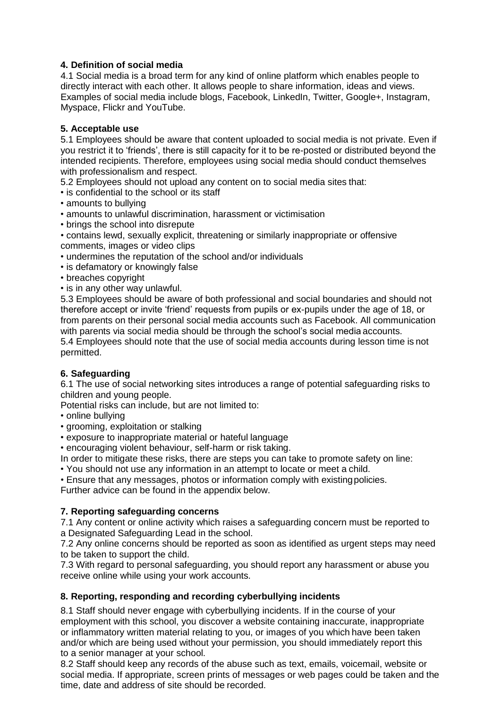# **4. Definition of social media**

4.1 Social media is a broad term for any kind of online platform which enables people to directly interact with each other. It allows people to share information, ideas and views. Examples of social media include blogs, Facebook, LinkedIn, Twitter, Google+, Instagram, Myspace, Flickr and YouTube.

## **5. Acceptable use**

5.1 Employees should be aware that content uploaded to social media is not private. Even if you restrict it to 'friends', there is still capacity for it to be re-posted or distributed beyond the intended recipients. Therefore, employees using social media should conduct themselves with professionalism and respect.

5.2 Employees should not upload any content on to social media sites that:

- is confidential to the school or its staff
- amounts to bullying
- amounts to unlawful discrimination, harassment or victimisation
- brings the school into disrepute
- contains lewd, sexually explicit, threatening or similarly inappropriate or offensive comments, images or video clips
- undermines the reputation of the school and/or individuals
- is defamatory or knowingly false
- breaches copyright
- is in any other way unlawful.

5.3 Employees should be aware of both professional and social boundaries and should not therefore accept or invite 'friend' requests from pupils or ex-pupils under the age of 18, or from parents on their personal social media accounts such as Facebook. All communication with parents via social media should be through the school's social media accounts.

5.4 Employees should note that the use of social media accounts during lesson time is not permitted.

#### **6. Safeguarding**

6.1 The use of social networking sites introduces a range of potential safeguarding risks to children and young people.

Potential risks can include, but are not limited to:

- online bullying
- grooming, exploitation or stalking
- exposure to inappropriate material or hateful language
- encouraging violent behaviour, self-harm or risk taking.

In order to mitigate these risks, there are steps you can take to promote safety on line:

• You should not use any information in an attempt to locate or meet a child.

• Ensure that any messages, photos or information comply with existingpolicies.

Further advice can be found in the appendix below.

#### **7. Reporting safeguarding concerns**

7.1 Any content or online activity which raises a safeguarding concern must be reported to a Designated Safeguarding Lead in the school.

7.2 Any online concerns should be reported as soon as identified as urgent steps may need to be taken to support the child.

7.3 With regard to personal safeguarding, you should report any harassment or abuse you receive online while using your work accounts.

#### **8. Reporting, responding and recording cyberbullying incidents**

8.1 Staff should never engage with cyberbullying incidents. If in the course of your employment with this school, you discover a website containing inaccurate, inappropriate or inflammatory written material relating to you, or images of you which have been taken and/or which are being used without your permission, you should immediately report this to a senior manager at your school.

8.2 Staff should keep any records of the abuse such as text, emails, voicemail, website or social media. If appropriate, screen prints of messages or web pages could be taken and the time, date and address of site should be recorded.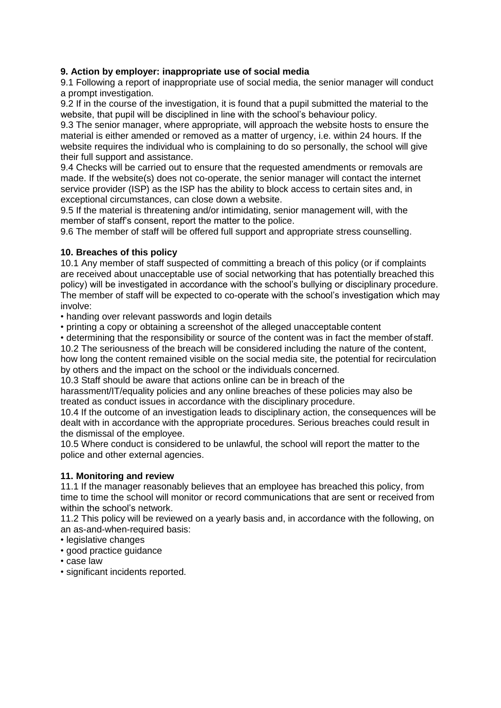## **9. Action by employer: inappropriate use of social media**

9.1 Following a report of inappropriate use of social media, the senior manager will conduct a prompt investigation.

9.2 If in the course of the investigation, it is found that a pupil submitted the material to the website, that pupil will be disciplined in line with the school's behaviour policy.

9.3 The senior manager, where appropriate, will approach the website hosts to ensure the material is either amended or removed as a matter of urgency, i.e. within 24 hours. If the website requires the individual who is complaining to do so personally, the school will give their full support and assistance.

9.4 Checks will be carried out to ensure that the requested amendments or removals are made. If the website(s) does not co-operate, the senior manager will contact the internet service provider (ISP) as the ISP has the ability to block access to certain sites and, in exceptional circumstances, can close down a website.

9.5 If the material is threatening and/or intimidating, senior management will, with the member of staff's consent, report the matter to the police.

9.6 The member of staff will be offered full support and appropriate stress counselling.

## **10. Breaches of this policy**

10.1 Any member of staff suspected of committing a breach of this policy (or if complaints are received about unacceptable use of social networking that has potentially breached this policy) will be investigated in accordance with the school's bullying or disciplinary procedure. The member of staff will be expected to co-operate with the school's investigation which may involve:

• handing over relevant passwords and login details

• printing a copy or obtaining a screenshot of the alleged unacceptable content

• determining that the responsibility or source of the content was in fact the member ofstaff.

10.2 The seriousness of the breach will be considered including the nature of the content, how long the content remained visible on the social media site, the potential for recirculation by others and the impact on the school or the individuals concerned.

10.3 Staff should be aware that actions online can be in breach of the

harassment/IT/equality policies and any online breaches of these policies may also be treated as conduct issues in accordance with the disciplinary procedure.

10.4 If the outcome of an investigation leads to disciplinary action, the consequences will be dealt with in accordance with the appropriate procedures. Serious breaches could result in the dismissal of the employee.

10.5 Where conduct is considered to be unlawful, the school will report the matter to the police and other external agencies.

#### **11. Monitoring and review**

11.1 If the manager reasonably believes that an employee has breached this policy, from time to time the school will monitor or record communications that are sent or received from within the school's network.

11.2 This policy will be reviewed on a yearly basis and, in accordance with the following, on an as-and-when-required basis:

- legislative changes
- good practice guidance
- case law
- significant incidents reported.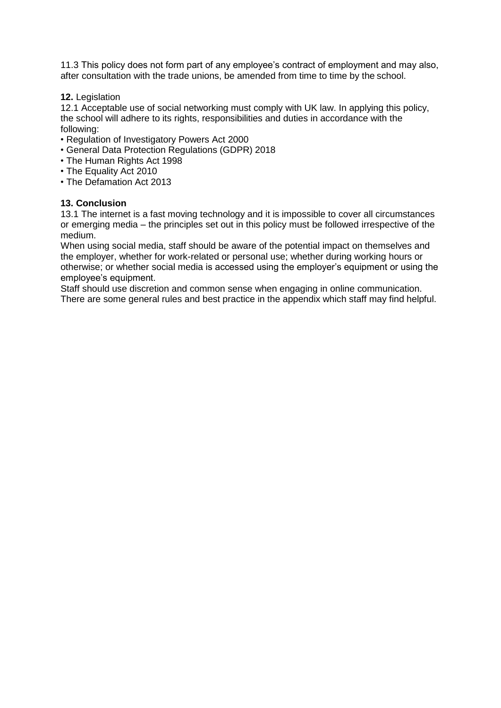11.3 This policy does not form part of any employee's contract of employment and may also, after consultation with the trade unions, be amended from time to time by the school.

**12.** Legislation

12.1 Acceptable use of social networking must comply with UK law. In applying this policy, the school will adhere to its rights, responsibilities and duties in accordance with the following:

- Regulation of Investigatory Powers Act 2000
- General Data Protection Regulations (GDPR) 2018
- The Human Rights Act 1998
- The Equality Act 2010
- The Defamation Act 2013

#### **13. Conclusion**

13.1 The internet is a fast moving technology and it is impossible to cover all circumstances or emerging media – the principles set out in this policy must be followed irrespective of the medium.

When using social media, staff should be aware of the potential impact on themselves and the employer, whether for work-related or personal use; whether during working hours or otherwise; or whether social media is accessed using the employer's equipment or using the employee's equipment.

Staff should use discretion and common sense when engaging in online communication. There are some general rules and best practice in the appendix which staff may find helpful.